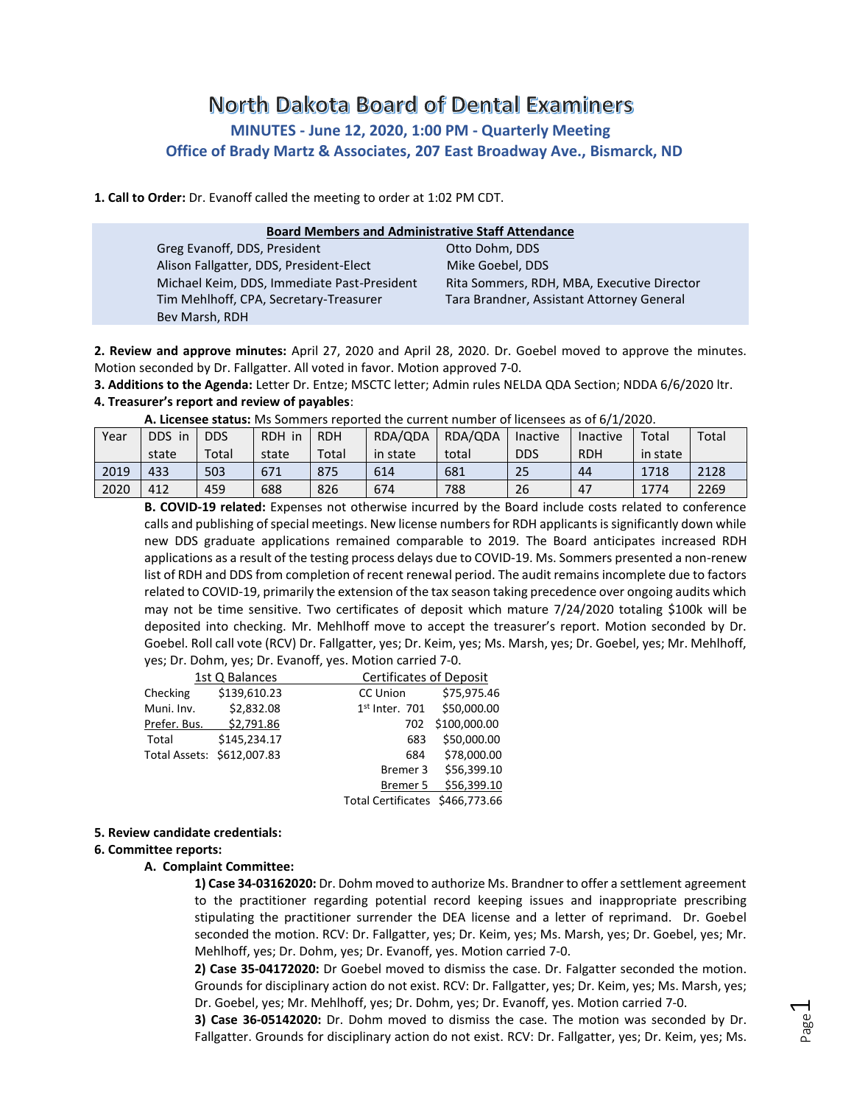# North Dakota Board of Dental Examiners **MINUTES - June 12, 2020, 1:00 PM - Quarterly Meeting Office of Brady Martz & Associates, 207 East Broadway Ave., Bismarck, ND**

**1. Call to Order:** Dr. Evanoff called the meeting to order at 1:02 PM CDT.

| <b>Board Members and Administrative Staff Attendance</b> |                                            |  |  |  |  |  |
|----------------------------------------------------------|--------------------------------------------|--|--|--|--|--|
| Greg Evanoff, DDS, President                             | Otto Dohm, DDS                             |  |  |  |  |  |
| Alison Fallgatter, DDS, President-Elect                  | Mike Goebel, DDS                           |  |  |  |  |  |
| Michael Keim, DDS, Immediate Past-President              | Rita Sommers, RDH, MBA, Executive Director |  |  |  |  |  |
| Tim Mehlhoff, CPA, Secretary-Treasurer                   | Tara Brandner, Assistant Attorney General  |  |  |  |  |  |
| Bev Marsh, RDH                                           |                                            |  |  |  |  |  |

**2. Review and approve minutes:** April 27, 2020 and April 28, 2020. Dr. Goebel moved to approve the minutes. Motion seconded by Dr. Fallgatter. All voted in favor. Motion approved 7-0.

**3. Additions to the Agenda:** Letter Dr. Entze; MSCTC letter; Admin rules NELDA QDA Section; NDDA 6/6/2020 ltr.

#### **4. Treasurer's report and review of payables**:

**A. Licensee status:** Ms Sommers reported the current number of licensees as of 6/1/2020.

| Year | <b>DDS</b><br>in | <b>DDS</b> | <b>RDH</b><br>-in | <b>RDH</b> | RDA/QDA  | RDA/QDA | Inactive   | Inactive   | Total    | Total |
|------|------------------|------------|-------------------|------------|----------|---------|------------|------------|----------|-------|
|      | state            | Total      | state             | Total      | in state | total   | <b>DDS</b> | <b>RDH</b> | in state |       |
| 2019 | 433              | 503        | 671               | 875        | 614      | 681     | 25         | 44         | 1718     | 2128  |
| 2020 | 412              | 459        | 688               | 826        | 674      | 788     | 26         | 47         | 1774     | 2269  |

**B. COVID-19 related:** Expenses not otherwise incurred by the Board include costs related to conference calls and publishing of special meetings. New license numbers for RDH applicants is significantly down while new DDS graduate applications remained comparable to 2019. The Board anticipates increased RDH applications as a result of the testing process delays due to COVID-19. Ms. Sommers presented a non-renew list of RDH and DDS from completion of recent renewal period. The audit remains incomplete due to factors related to COVID-19, primarily the extension of the tax season taking precedence over ongoing audits which may not be time sensitive. Two certificates of deposit which mature 7/24/2020 totaling \$100k will be deposited into checking. Mr. Mehlhoff move to accept the treasurer's report. Motion seconded by Dr. Goebel. Roll call vote (RCV) Dr. Fallgatter, yes; Dr. Keim, yes; Ms. Marsh, yes; Dr. Goebel, yes; Mr. Mehlhoff, yes; Dr. Dohm, yes; Dr. Evanoff, yes. Motion carried 7-0.

|                            | 1st Q Balances |                                 | Certificates of Deposit |  |  |  |
|----------------------------|----------------|---------------------------------|-------------------------|--|--|--|
| Checking                   | \$139,610.23   | CC Union                        | \$75,975.46             |  |  |  |
| Muni. Inv.                 | \$2,832.08     | $1st$ Inter. 701                | \$50,000.00             |  |  |  |
| Prefer. Bus.               | \$2,791.86     | 702                             | \$100,000.00            |  |  |  |
| Total                      | \$145,234.17   | 683                             | \$50,000.00             |  |  |  |
| Total Assets: \$612,007.83 |                | 684                             | \$78,000.00             |  |  |  |
|                            |                | Bremer 3                        | \$56,399.10             |  |  |  |
|                            |                | Bremer 5                        | \$56,399.10             |  |  |  |
|                            |                | Total Certificates \$466,773.66 |                         |  |  |  |

#### **5. Review candidate credentials:**

#### **6. Committee reports:**

#### **A. Complaint Committee:**

**1) Case 34-03162020:** Dr. Dohm moved to authorize Ms. Brandner to offer a settlement agreement to the practitioner regarding potential record keeping issues and inappropriate prescribing stipulating the practitioner surrender the DEA license and a letter of reprimand. Dr. Goebel seconded the motion. RCV: Dr. Fallgatter, yes; Dr. Keim, yes; Ms. Marsh, yes; Dr. Goebel, yes; Mr. Mehlhoff, yes; Dr. Dohm, yes; Dr. Evanoff, yes. Motion carried 7-0.

**2) Case 35-04172020:** Dr Goebel moved to dismiss the case. Dr. Falgatter seconded the motion. Grounds for disciplinary action do not exist. RCV: Dr. Fallgatter, yes; Dr. Keim, yes; Ms. Marsh, yes; Dr. Goebel, yes; Mr. Mehlhoff, yes; Dr. Dohm, yes; Dr. Evanoff, yes. Motion carried 7-0.

**3) Case 36-05142020:** Dr. Dohm moved to dismiss the case. The motion was seconded by Dr. Fallgatter. Grounds for disciplinary action do not exist. RCV: Dr. Fallgatter, yes; Dr. Keim, yes; Ms.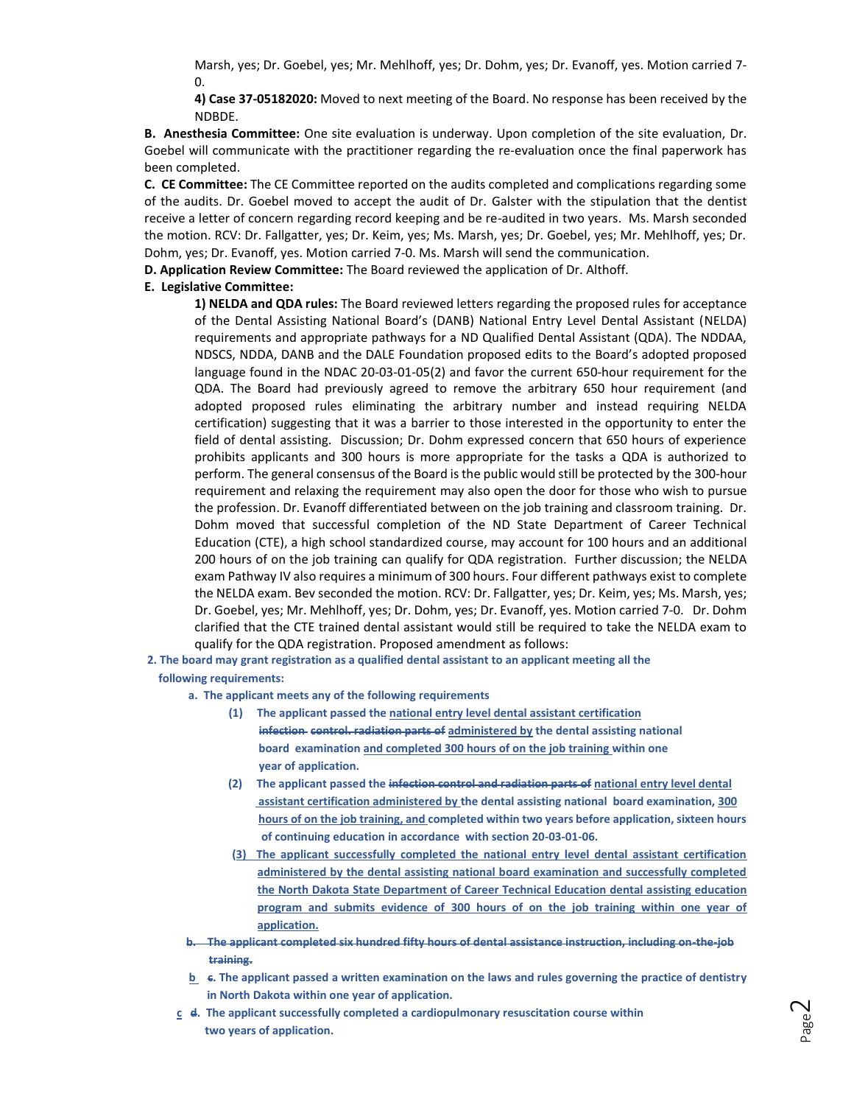Marsh, yes; Dr. Goebel, yes; Mr. Mehlhoff, yes; Dr. Dohm, yes; Dr. Evanoff, yes. Motion carried 7- 0.

**4) Case 37-05182020:** Moved to next meeting of the Board. No response has been received by the NDBDE.

**B. Anesthesia Committee:** One site evaluation is underway. Upon completion of the site evaluation, Dr. Goebel will communicate with the practitioner regarding the re-evaluation once the final paperwork has been completed.

**C. CE Committee:** The CE Committee reported on the audits completed and complications regarding some of the audits. Dr. Goebel moved to accept the audit of Dr. Galster with the stipulation that the dentist receive a letter of concern regarding record keeping and be re-audited in two years. Ms. Marsh seconded the motion. RCV: Dr. Fallgatter, yes; Dr. Keim, yes; Ms. Marsh, yes; Dr. Goebel, yes; Mr. Mehlhoff, yes; Dr. Dohm, yes; Dr. Evanoff, yes. Motion carried 7-0. Ms. Marsh will send the communication.

**D. Application Review Committee:** The Board reviewed the application of Dr. Althoff.

#### **E. Legislative Committee:**

**1) NELDA and QDA rules:** The Board reviewed letters regarding the proposed rules for acceptance of the Dental Assisting National Board's (DANB) National Entry Level Dental Assistant (NELDA) requirements and appropriate pathways for a ND Qualified Dental Assistant (QDA). The NDDAA, NDSCS, NDDA, DANB and the DALE Foundation proposed edits to the Board's adopted proposed language found in the NDAC 20-03-01-05(2) and favor the current 650-hour requirement for the QDA. The Board had previously agreed to remove the arbitrary 650 hour requirement (and adopted proposed rules eliminating the arbitrary number and instead requiring NELDA certification) suggesting that it was a barrier to those interested in the opportunity to enter the field of dental assisting. Discussion; Dr. Dohm expressed concern that 650 hours of experience prohibits applicants and 300 hours is more appropriate for the tasks a QDA is authorized to perform. The general consensus of the Board is the public would still be protected by the 300-hour requirement and relaxing the requirement may also open the door for those who wish to pursue the profession. Dr. Evanoff differentiated between on the job training and classroom training. Dr. Dohm moved that successful completion of the ND State Department of Career Technical Education (CTE), a high school standardized course, may account for 100 hours and an additional 200 hours of on the job training can qualify for QDA registration. Further discussion; the NELDA exam Pathway IV also requires a minimum of 300 hours. Four different pathways exist to complete the NELDA exam. Bev seconded the motion. RCV: Dr. Fallgatter, yes; Dr. Keim, yes; Ms. Marsh, yes; Dr. Goebel, yes; Mr. Mehlhoff, yes; Dr. Dohm, yes; Dr. Evanoff, yes. Motion carried 7-0. Dr. Dohm clarified that the CTE trained dental assistant would still be required to take the NELDA exam to qualify for the QDA registration. Proposed amendment as follows:

**2. The board may grant registration as a qualified dental assistant to an applicant meeting all the following requirements:**

**a. The applicant meets any of the following requirements**

- **(1) The applicant passed the national entry level dental assistant certification infection control. radiation parts of administered by the dental assisting national board examination and completed 300 hours of on the job training within one year of application.**
- **(2) The applicant passed the infection control and radiation parts of national entry level dental assistant certification administered by the dental assisting national board examination, 300 hours of on the job training, and completed within two years before application, sixteen hours of continuing education in accordance with section 20-03-01-06.**
- **(3) The applicant successfully completed the national entry level dental assistant certification administered by the dental assisting national board examination and successfully completed the North Dakota State Department of Career Technical Education dental assisting education program and submits evidence of 300 hours of on the job training within one year of application.**
- **b. The applicant completed six hundred fifty hours of dental assistance instruction, including on-the-job training.**
- **b** c. The applicant passed a written examination on the laws and rules governing the practice of dentistry **in North Dakota within one year of application.**
- **c d. The applicant successfully completed a cardiopulmonary resuscitation course within two years of application.**